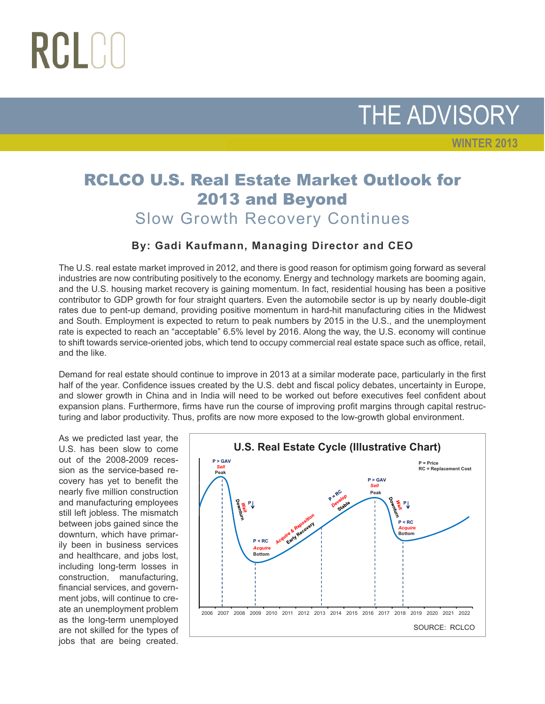# RCLCO

THE ADVISORY

**WINTER 2013**

### RCLCO U.S. Real Estate Market Outlook for 2013 and Beyond Slow Growth Recovery Continues

#### **By: Gadi Kaufmann, Managing Director and CEO**

The U.S. real estate market improved in 2012, and there is good reason for optimism going forward as several industries are now contributing positively to the economy. Energy and technology markets are booming again, and the U.S. housing market recovery is gaining momentum. In fact, residential housing has been a positive contributor to GDP growth for four straight quarters. Even the automobile sector is up by nearly double-digit rates due to pent-up demand, providing positive momentum in hard-hit manufacturing cities in the Midwest and South. Employment is expected to return to peak numbers by 2015 in the U.S., and the unemployment rate is expected to reach an "acceptable" 6.5% level by 2016. Along the way, the U.S. economy will continue to shift towards service-oriented jobs, which tend to occupy commercial real estate space such as office, retail, and the like.

Demand for real estate should continue to improve in 2013 at a similar moderate pace, particularly in the first half of the year. Confidence issues created by the U.S. debt and fiscal policy debates, uncertainty in Europe, and slower growth in China and in India will need to be worked out before executives feel confident about expansion plans. Furthermore, firms have run the course of improving profit margins through capital restructuring and labor productivity. Thus, profits are now more exposed to the low-growth global environment.

As we predicted last year, the U.S. has been slow to come out of the 2008-2009 recession as the service-based recovery has yet to benefit the nearly five million construction and manufacturing employees still left jobless. The mismatch between jobs gained since the downturn, which have primarily been in business services and healthcare, and jobs lost, including long-term losses in construction, manufacturing, financial services, and government jobs, will continue to create an unemployment problem as the long-term unemployed are not skilled for the types of jobs that are being created.

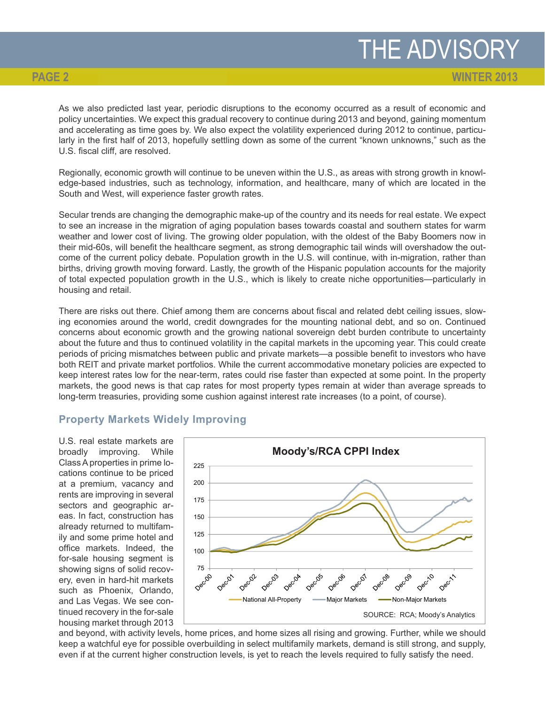**WINTER 2013**

As we also predicted last year, periodic disruptions to the economy occurred as a result of economic and policy uncertainties. We expect this gradual recovery to continue during 2013 and beyond, gaining momentum and accelerating as time goes by. We also expect the volatility experienced during 2012 to continue, particularly in the first half of 2013, hopefully settling down as some of the current "known unknowns," such as the U.S. fiscal cliff, are resolved.

Regionally, economic growth will continue to be uneven within the U.S., as areas with strong growth in knowledge-based industries, such as technology, information, and healthcare, many of which are located in the South and West, will experience faster growth rates.

Secular trends are changing the demographic make-up of the country and its needs for real estate. We expect to see an increase in the migration of aging population bases towards coastal and southern states for warm weather and lower cost of living. The growing older population, with the oldest of the Baby Boomers now in their mid-60s, will benefit the healthcare segment, as strong demographic tail winds will overshadow the outcome of the current policy debate. Population growth in the U.S. will continue, with in-migration, rather than births, driving growth moving forward. Lastly, the growth of the Hispanic population accounts for the majority of total expected population growth in the U.S., which is likely to create niche opportunities—particularly in housing and retail.

There are risks out there. Chief among them are concerns about fiscal and related debt ceiling issues, slowing economies around the world, credit downgrades for the mounting national debt, and so on. Continued concerns about economic growth and the growing national sovereign debt burden contribute to uncertainty about the future and thus to continued volatility in the capital markets in the upcoming year. This could create periods of pricing mismatches between public and private markets—a possible benefit to investors who have both REIT and private market portfolios. While the current accommodative monetary policies are expected to keep interest rates low for the near-term, rates could rise faster than expected at some point. In the property markets, the good news is that cap rates for most property types remain at wider than average spreads to long-term treasuries, providing some cushion against interest rate increases (to a point, of course).

#### **Property Markets Widely Improving**

U.S. real estate markets are broadly improving. While Class A properties in prime locations continue to be priced at a premium, vacancy and rents are improving in several sectors and geographic areas. In fact, construction has already returned to multifamily and some prime hotel and office markets. Indeed, the for-sale housing segment is showing signs of solid recovery, even in hard-hit markets such as Phoenix, Orlando, and Las Vegas. We see continued recovery in the for-sale housing market through 2013



and beyond, with activity levels, home prices, and home sizes all rising and growing. Further, while we should keep a watchful eye for possible overbuilding in select multifamily markets, demand is still strong, and supply, even if at the current higher construction levels, is yet to reach the levels required to fully satisfy the need.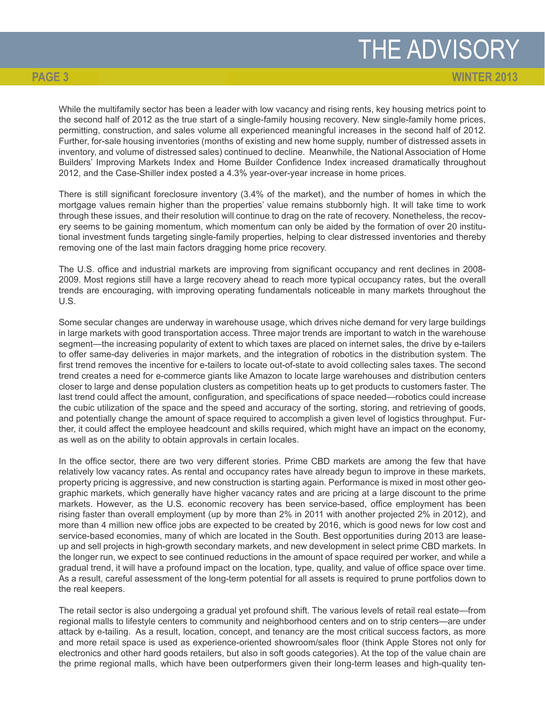**WINTER 2013**

While the multifamily sector has been a leader with low vacancy and rising rents, key housing metrics point to the second half of 2012 as the true start of a single-family housing recovery. New single-family home prices, permitting, construction, and sales volume all experienced meaningful increases in the second half of 2012. Further, for-sale housing inventories (months of existing and new home supply, number of distressed assets in inventory, and volume of distressed sales) continued to decline. Meanwhile, the National Association of Home Builders' Improving Markets Index and Home Builder Confidence Index increased dramatically throughout 2012, and the Case-Shiller index posted a 4.3% year-over-year increase in home prices.

There is still significant foreclosure inventory (3.4% of the market), and the number of homes in which the mortgage values remain higher than the properties' value remains stubbornly high. It will take time to work through these issues, and their resolution will continue to drag on the rate of recovery. Nonetheless, the recovery seems to be gaining momentum, which momentum can only be aided by the formation of over 20 institutional investment funds targeting single-family properties, helping to clear distressed inventories and thereby removing one of the last main factors dragging home price recovery.

The U.S. office and industrial markets are improving from significant occupancy and rent declines in 2008- 2009. Most regions still have a large recovery ahead to reach more typical occupancy rates, but the overall trends are encouraging, with improving operating fundamentals noticeable in many markets throughout the U.S.

Some secular changes are underway in warehouse usage, which drives niche demand for very large buildings in large markets with good transportation access. Three major trends are important to watch in the warehouse segment—the increasing popularity of extent to which taxes are placed on internet sales, the drive by e-tailers to offer same-day deliveries in major markets, and the integration of robotics in the distribution system. The first trend removes the incentive for e-tailers to locate out-of-state to avoid collecting sales taxes. The second trend creates a need for e-commerce giants like Amazon to locate large warehouses and distribution centers closer to large and dense population clusters as competition heats up to get products to customers faster. The last trend could affect the amount, configuration, and specifications of space needed—robotics could increase the cubic utilization of the space and the speed and accuracy of the sorting, storing, and retrieving of goods, and potentially change the amount of space required to accomplish a given level of logistics throughput. Further, it could affect the employee headcount and skills required, which might have an impact on the economy, as well as on the ability to obtain approvals in certain locales.

In the office sector, there are two very different stories. Prime CBD markets are among the few that have relatively low vacancy rates. As rental and occupancy rates have already begun to improve in these markets, property pricing is aggressive, and new construction is starting again. Performance is mixed in most other geographic markets, which generally have higher vacancy rates and are pricing at a large discount to the prime markets. However, as the U.S. economic recovery has been service-based, office employment has been rising faster than overall employment (up by more than 2% in 2011 with another projected 2% in 2012), and more than 4 million new office jobs are expected to be created by 2016, which is good news for low cost and service-based economies, many of which are located in the South. Best opportunities during 2013 are leaseup and sell projects in high-growth secondary markets, and new development in select prime CBD markets. In the longer run, we expect to see continued reductions in the amount of space required per worker, and while a gradual trend, it will have a profound impact on the location, type, quality, and value of office space over time. As a result, careful assessment of the long-term potential for all assets is required to prune portfolios down to the real keepers.

The retail sector is also undergoing a gradual yet profound shift. The various levels of retail real estate—from regional malls to lifestyle centers to community and neighborhood centers and on to strip centers—are under attack by e-tailing. As a result, location, concept, and tenancy are the most critical success factors, as more and more retail space is used as experience-oriented showroom/sales floor (think Apple Stores not only for electronics and other hard goods retailers, but also in soft goods categories). At the top of the value chain are the prime regional malls, which have been outperformers given their long-term leases and high-quality ten-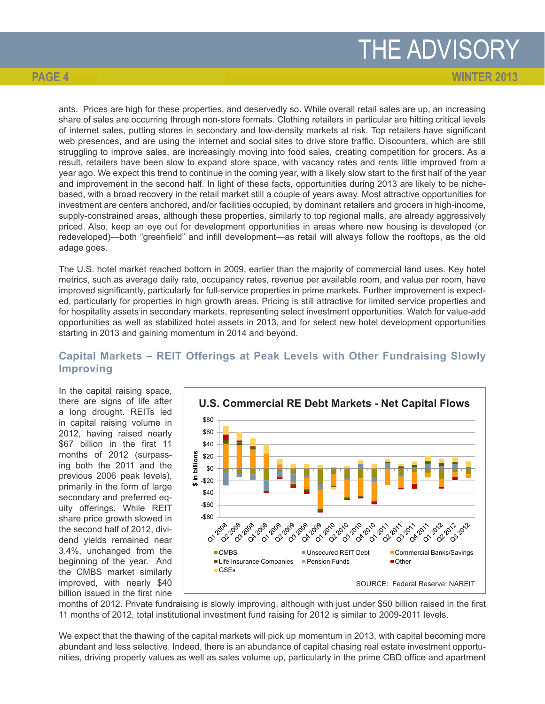## THE ADVISORY

**WINTER 2013**

ants. Prices are high for these properties, and deservedly so. While overall retail sales are up, an increasing share of sales are occurring through non-store formats. Clothing retailers in particular are hitting critical levels of internet sales, putting stores in secondary and low-density markets at risk. Top retailers have significant web presences, and are using the internet and social sites to drive store traffic. Discounters, which are still struggling to improve sales, are increasingly moving into food sales, creating competition for grocers. As a result, retailers have been slow to expand store space, with vacancy rates and rents little improved from a year ago. We expect this trend to continue in the coming year, with a likely slow start to the first half of the year and improvement in the second half. In light of these facts, opportunities during 2013 are likely to be nichebased, with a broad recovery in the retail market still a couple of years away. Most attractive opportunities for investment are centers anchored, and/or facilities occupied, by dominant retailers and grocers in high-income, supply-constrained areas, although these properties, similarly to top regional malls, are already aggressively priced. Also, keep an eye out for development opportunities in areas where new housing is developed (or redeveloped)—both "greenfield" and infill development—as retail will always follow the rooftops, as the old adage goes.

The U.S. hotel market reached bottom in 2009, earlier than the majority of commercial land uses. Key hotel metrics, such as average daily rate, occupancy rates, revenue per available room, and value per room, have improved significantly, particularly for full-service properties in prime markets. Further improvement is expected, particularly for properties in high growth areas. Pricing is still attractive for limited service properties and for hospitality assets in secondary markets, representing select investment opportunities. Watch for value-add opportunities as well as stabilized hotel assets in 2013, and for select new hotel development opportunities starting in 2013 and gaining momentum in 2014 and beyond.

#### **Capital Markets – REIT Offerings at Peak Levels with Other Fundraising Slowly Improving**

In the capital raising space, there are signs of life after a long drought. REITs led in capital raising volume in 2012, having raised nearly \$67 billion in the first 11 months of 2012 (surpassing both the 2011 and the previous 2006 peak levels), primarily in the form of large secondary and preferred equity offerings. While REIT share price growth slowed in the second half of 2012, dividend yields remained near 3.4%, unchanged from the beginning of the year. And the CMBS market similarly improved, with nearly \$40 billion issued in the first nine



months of 2012. Private fundraising is slowly improving, although with just under \$50 billion raised in the first 11 months of 2012, total institutional investment fund raising for 2012 is similar to 2009-2011 levels.

We expect that the thawing of the capital markets will pick up momentum in 2013, with capital becoming more abundant and less selective. Indeed, there is an abundance of capital chasing real estate investment opportunities, driving property values as well as sales volume up, particularly in the prime CBD office and apartment